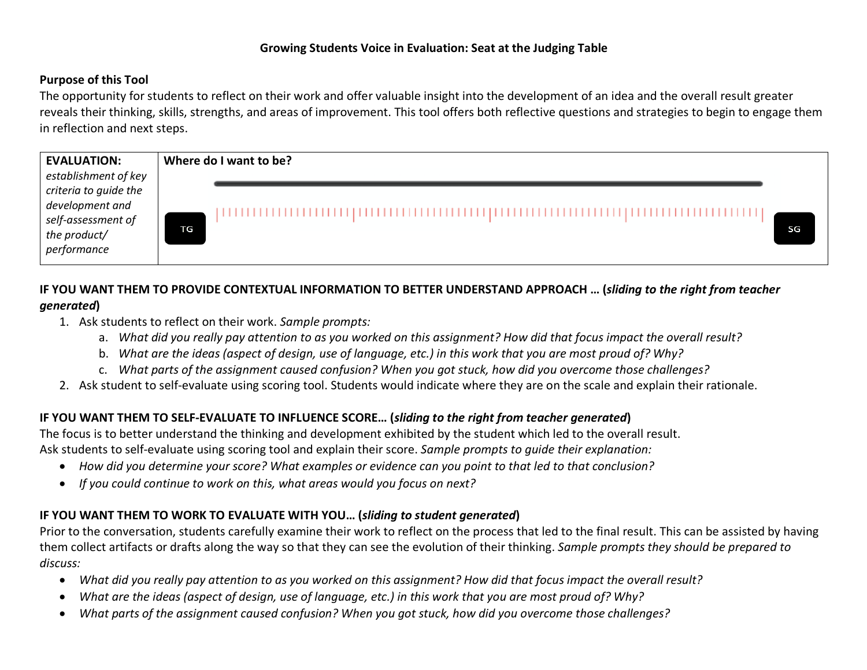## **Growing Students Voice in Evaluation: Seat at the Judging Table**

#### **Purpose of this Tool**

The opportunity for students to reflect on their work and offer valuable insight into the development of an idea and the overall result greater reveals their thinking, skills, strengths, and areas of improvement. This tool offers both reflective questions and strategies to begin to engage them in reflection and next steps.



# **IF YOU WANT THEM TO PROVIDE CONTEXTUAL INFORMATION TO BETTER UNDERSTAND APPROACH … (***sliding to the right from teacher generated***)**

- 1. Ask students to reflect on their work. *Sample prompts:* 
	- a. *What did you really pay attention to as you worked on this assignment? How did that focus impact the overall result?*
	- b. *What are the ideas (aspect of design, use of language, etc.) in this work that you are most proud of? Why?*
	- c. *What parts of the assignment caused confusion? When you got stuck, how did you overcome those challenges?*
- 2. Ask student to self-evaluate using scoring tool. Students would indicate where they are on the scale and explain their rationale.

## **IF YOU WANT THEM TO SELF-EVALUATE TO INFLUENCE SCORE… (***sliding to the right from teacher generated***)**

The focus is to better understand the thinking and development exhibited by the student which led to the overall result. Ask students to self-evaluate using scoring tool and explain their score. *Sample prompts to guide their explanation:*

- *How did you determine your score? What examples or evidence can you point to that led to that conclusion?*
- *If you could continue to work on this, what areas would you focus on next?*

## **IF YOU WANT THEM TO WORK TO EVALUATE WITH YOU… (***sliding to student generated***)**

Prior to the conversation, students carefully examine their work to reflect on the process that led to the final result. This can be assisted by having them collect artifacts or drafts along the way so that they can see the evolution of their thinking. *Sample prompts they should be prepared to discuss:*

- *What did you really pay attention to as you worked on this assignment? How did that focus impact the overall result?*
- *What are the ideas (aspect of design, use of language, etc.) in this work that you are most proud of? Why?*
- *What parts of the assignment caused confusion? When you got stuck, how did you overcome those challenges?*